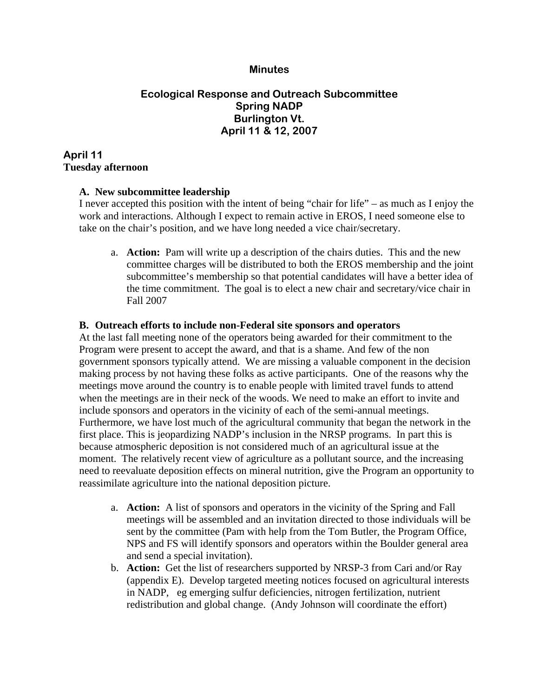#### **Minutes**

# **Ecological Response and Outreach Subcommittee Spring NADP Burlington Vt. April 11 & 12, 2007**

# **April 11 Tuesday afternoon**

### **A. New subcommittee leadership**

I never accepted this position with the intent of being "chair for life" – as much as I enjoy the work and interactions. Although I expect to remain active in EROS, I need someone else to take on the chair's position, and we have long needed a vice chair/secretary.

a. **Action:** Pam will write up a description of the chairs duties. This and the new committee charges will be distributed to both the EROS membership and the joint subcommittee's membership so that potential candidates will have a better idea of the time commitment. The goal is to elect a new chair and secretary/vice chair in Fall 2007

#### **B. Outreach efforts to include non-Federal site sponsors and operators**

At the last fall meeting none of the operators being awarded for their commitment to the Program were present to accept the award, and that is a shame. And few of the non government sponsors typically attend. We are missing a valuable component in the decision making process by not having these folks as active participants. One of the reasons why the meetings move around the country is to enable people with limited travel funds to attend when the meetings are in their neck of the woods. We need to make an effort to invite and include sponsors and operators in the vicinity of each of the semi-annual meetings. Furthermore, we have lost much of the agricultural community that began the network in the first place. This is jeopardizing NADP's inclusion in the NRSP programs. In part this is because atmospheric deposition is not considered much of an agricultural issue at the moment. The relatively recent view of agriculture as a pollutant source, and the increasing need to reevaluate deposition effects on mineral nutrition, give the Program an opportunity to reassimilate agriculture into the national deposition picture.

- a. **Action:** A list of sponsors and operators in the vicinity of the Spring and Fall meetings will be assembled and an invitation directed to those individuals will be sent by the committee (Pam with help from the Tom Butler, the Program Office, NPS and FS will identify sponsors and operators within the Boulder general area and send a special invitation).
- b. **Action:** Get the list of researchers supported by NRSP-3 from Cari and/or Ray (appendix E). Develop targeted meeting notices focused on agricultural interests in NADP, eg emerging sulfur deficiencies, nitrogen fertilization, nutrient redistribution and global change. (Andy Johnson will coordinate the effort)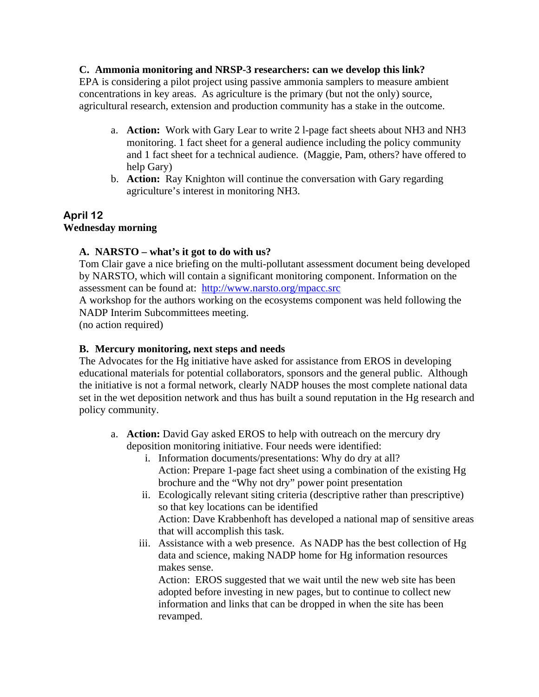### **C. Ammonia monitoring and NRSP-3 researchers: can we develop this link?**

EPA is considering a pilot project using passive ammonia samplers to measure ambient concentrations in key areas. As agriculture is the primary (but not the only) source, agricultural research, extension and production community has a stake in the outcome.

- a. **Action:** Work with Gary Lear to write 2 l-page fact sheets about NH3 and NH3 monitoring. 1 fact sheet for a general audience including the policy community and 1 fact sheet for a technical audience. (Maggie, Pam, others? have offered to help Gary)
- b. **Action:** Ray Knighton will continue the conversation with Gary regarding agriculture's interest in monitoring NH3.

# **April 12 Wednesday morning**

# **A. NARSTO – what's it got to do with us?**

Tom Clair gave a nice briefing on the multi-pollutant assessment document being developed by NARSTO, which will contain a significant monitoring component. Information on the assessment can be found at: http://www.narsto.org/mpacc.src

A workshop for the authors working on the ecosystems component was held following the NADP Interim Subcommittees meeting.

(no action required)

# **B. Mercury monitoring, next steps and needs**

The Advocates for the Hg initiative have asked for assistance from EROS in developing educational materials for potential collaborators, sponsors and the general public. Although the initiative is not a formal network, clearly NADP houses the most complete national data set in the wet deposition network and thus has built a sound reputation in the Hg research and policy community.

- a. **Action:** David Gay asked EROS to help with outreach on the mercury dry deposition monitoring initiative. Four needs were identified:
	- i. Information documents/presentations: Why do dry at all? Action: Prepare 1-page fact sheet using a combination of the existing Hg brochure and the "Why not dry" power point presentation
	- ii. Ecologically relevant siting criteria (descriptive rather than prescriptive) so that key locations can be identified Action: Dave Krabbenhoft has developed a national map of sensitive areas that will accomplish this task.
	- iii. Assistance with a web presence. As NADP has the best collection of Hg data and science, making NADP home for Hg information resources makes sense.

Action: EROS suggested that we wait until the new web site has been adopted before investing in new pages, but to continue to collect new information and links that can be dropped in when the site has been revamped.